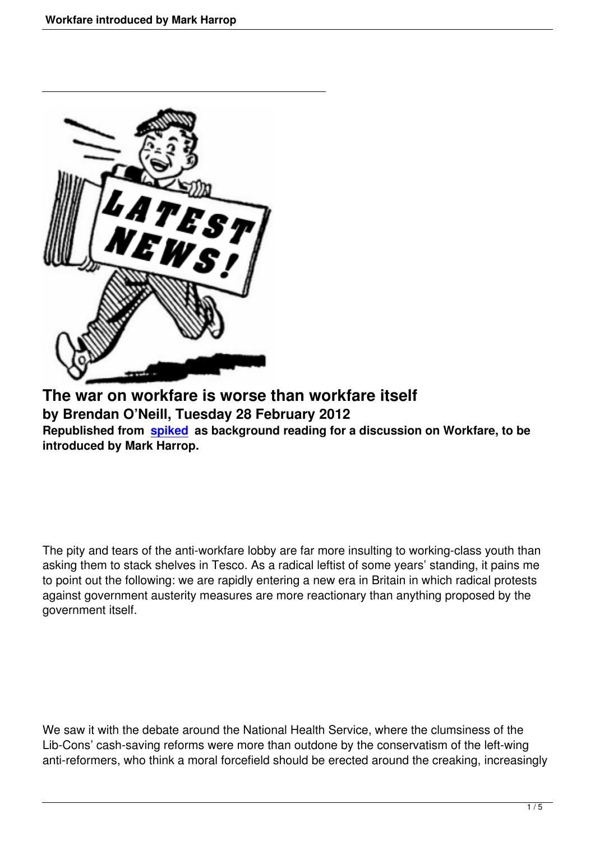

**The war on workfare is worse than workfare itself by Brendan O'Neill, Tuesday 28 February 2012 Republished from spiked as background reading for a discussion on Workfare, to be introduced by Mark Harrop.**

The pity and tears of the anti-workfare lobby are far more insulting to working-class youth than asking them to stack shelves in Tesco. As a radical leftist of some years' standing, it pains me to point out the following: we are rapidly entering a new era in Britain in which radical protests against government austerity measures are more reactionary than anything proposed by the government itself.

We saw it with the debate around the National Health Service, where the clumsiness of the Lib-Cons' cash-saving reforms were more than outdone by the conservatism of the left-wing anti-reformers, who think a moral forcefield should be erected around the creaking, increasingly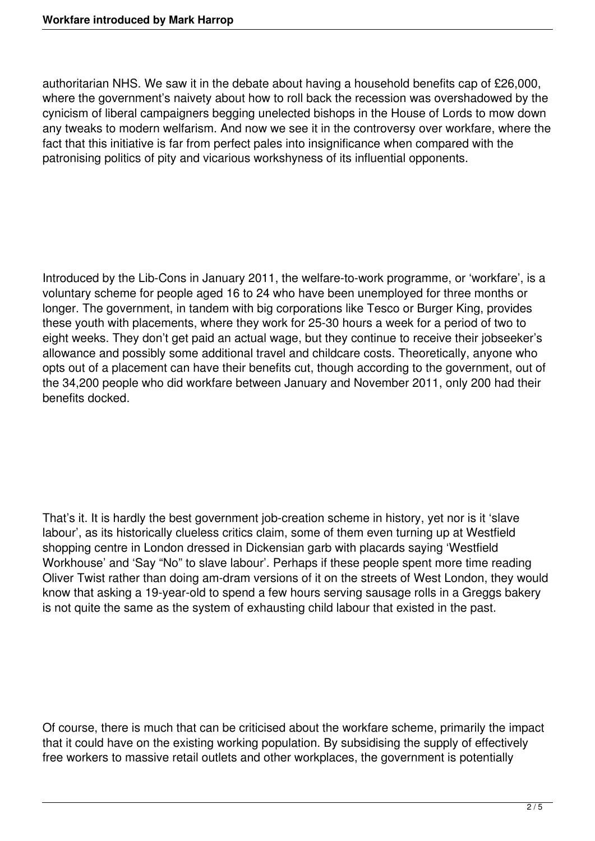authoritarian NHS. We saw it in the debate about having a household benefits cap of £26,000, where the government's naivety about how to roll back the recession was overshadowed by the cynicism of liberal campaigners begging unelected bishops in the House of Lords to mow down any tweaks to modern welfarism. And now we see it in the controversy over workfare, where the fact that this initiative is far from perfect pales into insignificance when compared with the patronising politics of pity and vicarious workshyness of its influential opponents.

Introduced by the Lib-Cons in January 2011, the welfare-to-work programme, or 'workfare', is a voluntary scheme for people aged 16 to 24 who have been unemployed for three months or longer. The government, in tandem with big corporations like Tesco or Burger King, provides these youth with placements, where they work for 25-30 hours a week for a period of two to eight weeks. They don't get paid an actual wage, but they continue to receive their jobseeker's allowance and possibly some additional travel and childcare costs. Theoretically, anyone who opts out of a placement can have their benefits cut, though according to the government, out of the 34,200 people who did workfare between January and November 2011, only 200 had their benefits docked.

That's it. It is hardly the best government job-creation scheme in history, yet nor is it 'slave labour', as its historically clueless critics claim, some of them even turning up at Westfield shopping centre in London dressed in Dickensian garb with placards saying 'Westfield Workhouse' and 'Say "No" to slave labour'. Perhaps if these people spent more time reading Oliver Twist rather than doing am-dram versions of it on the streets of West London, they would know that asking a 19-year-old to spend a few hours serving sausage rolls in a Greggs bakery is not quite the same as the system of exhausting child labour that existed in the past.

Of course, there is much that can be criticised about the workfare scheme, primarily the impact that it could have on the existing working population. By subsidising the supply of effectively free workers to massive retail outlets and other workplaces, the government is potentially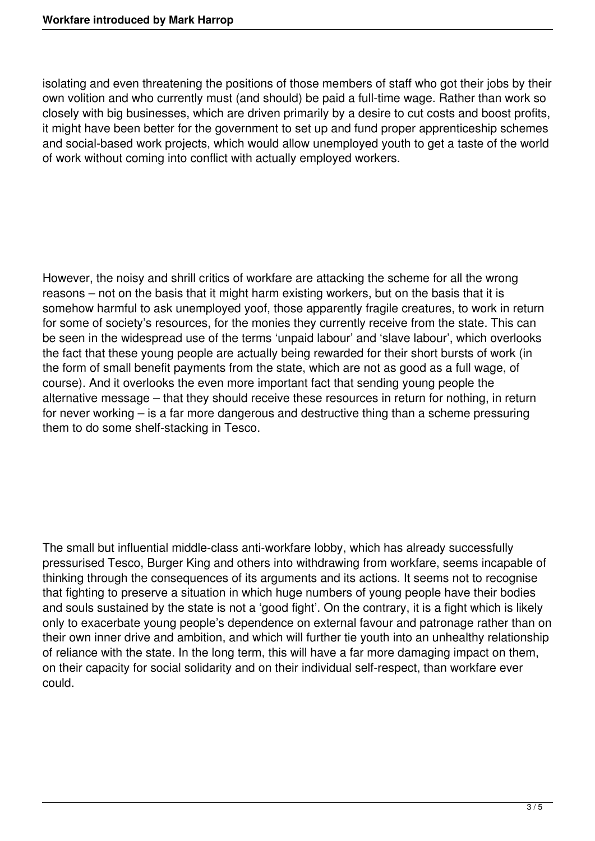isolating and even threatening the positions of those members of staff who got their jobs by their own volition and who currently must (and should) be paid a full-time wage. Rather than work so closely with big businesses, which are driven primarily by a desire to cut costs and boost profits, it might have been better for the government to set up and fund proper apprenticeship schemes and social-based work projects, which would allow unemployed youth to get a taste of the world of work without coming into conflict with actually employed workers.

However, the noisy and shrill critics of workfare are attacking the scheme for all the wrong reasons – not on the basis that it might harm existing workers, but on the basis that it is somehow harmful to ask unemployed yoof, those apparently fragile creatures, to work in return for some of society's resources, for the monies they currently receive from the state. This can be seen in the widespread use of the terms 'unpaid labour' and 'slave labour', which overlooks the fact that these young people are actually being rewarded for their short bursts of work (in the form of small benefit payments from the state, which are not as good as a full wage, of course). And it overlooks the even more important fact that sending young people the alternative message – that they should receive these resources in return for nothing, in return for never working – is a far more dangerous and destructive thing than a scheme pressuring them to do some shelf-stacking in Tesco.

The small but influential middle-class anti-workfare lobby, which has already successfully pressurised Tesco, Burger King and others into withdrawing from workfare, seems incapable of thinking through the consequences of its arguments and its actions. It seems not to recognise that fighting to preserve a situation in which huge numbers of young people have their bodies and souls sustained by the state is not a 'good fight'. On the contrary, it is a fight which is likely only to exacerbate young people's dependence on external favour and patronage rather than on their own inner drive and ambition, and which will further tie youth into an unhealthy relationship of reliance with the state. In the long term, this will have a far more damaging impact on them, on their capacity for social solidarity and on their individual self-respect, than workfare ever could.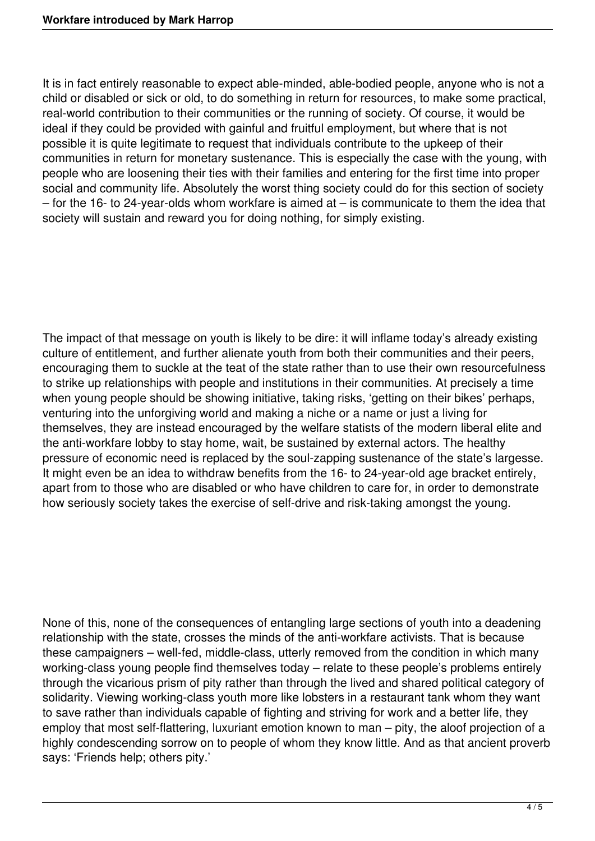It is in fact entirely reasonable to expect able-minded, able-bodied people, anyone who is not a child or disabled or sick or old, to do something in return for resources, to make some practical, real-world contribution to their communities or the running of society. Of course, it would be ideal if they could be provided with gainful and fruitful employment, but where that is not possible it is quite legitimate to request that individuals contribute to the upkeep of their communities in return for monetary sustenance. This is especially the case with the young, with people who are loosening their ties with their families and entering for the first time into proper social and community life. Absolutely the worst thing society could do for this section of society  $-$  for the 16- to 24-year-olds whom workfare is aimed at  $-$  is communicate to them the idea that society will sustain and reward you for doing nothing, for simply existing.

The impact of that message on youth is likely to be dire: it will inflame today's already existing culture of entitlement, and further alienate youth from both their communities and their peers, encouraging them to suckle at the teat of the state rather than to use their own resourcefulness to strike up relationships with people and institutions in their communities. At precisely a time when young people should be showing initiative, taking risks, 'getting on their bikes' perhaps, venturing into the unforgiving world and making a niche or a name or just a living for themselves, they are instead encouraged by the welfare statists of the modern liberal elite and the anti-workfare lobby to stay home, wait, be sustained by external actors. The healthy pressure of economic need is replaced by the soul-zapping sustenance of the state's largesse. It might even be an idea to withdraw benefits from the 16- to 24-year-old age bracket entirely, apart from to those who are disabled or who have children to care for, in order to demonstrate how seriously society takes the exercise of self-drive and risk-taking amongst the young.

None of this, none of the consequences of entangling large sections of youth into a deadening relationship with the state, crosses the minds of the anti-workfare activists. That is because these campaigners – well-fed, middle-class, utterly removed from the condition in which many working-class young people find themselves today – relate to these people's problems entirely through the vicarious prism of pity rather than through the lived and shared political category of solidarity. Viewing working-class youth more like lobsters in a restaurant tank whom they want to save rather than individuals capable of fighting and striving for work and a better life, they employ that most self-flattering, luxuriant emotion known to man – pity, the aloof projection of a highly condescending sorrow on to people of whom they know little. And as that ancient proverb says: 'Friends help; others pity.'